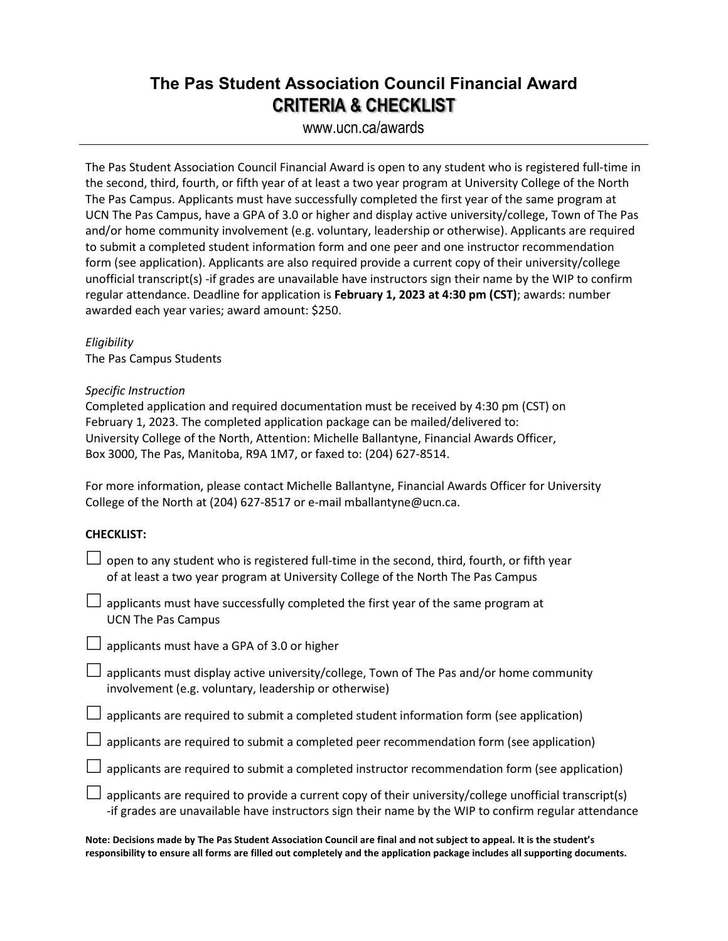## **The Pas Student Association Council Financial Award CRITERIA & CHECKLIST**

### www.ucn.ca/awards

The Pas Student Association Council Financial Award is open to any student who is registered full-time in the second, third, fourth, or fifth year of at least a two year program at University College of the North The Pas Campus. Applicants must have successfully completed the first year of the same program at UCN The Pas Campus, have a GPA of 3.0 or higher and display active university/college, Town of The Pas and/or home community involvement (e.g. voluntary, leadership or otherwise). Applicants are required to submit a completed student information form and one peer and one instructor recommendation form (see application). Applicants are also required provide a current copy of their university/college unofficial transcript(s) -if grades are unavailable have instructors sign their name by the WIP to confirm regular attendance. Deadline for application is **February 1, 2023 at 4:30 pm (CST)**; awards: number awarded each year varies; award amount: \$250.

*Eligibility* The Pas Campus Students

#### *Specific Instruction*

Completed application and required documentation must be received by 4:30 pm (CST) on February 1, 2023. The completed application package can be mailed/delivered to: University College of the North, Attention: Michelle Ballantyne, Financial Awards Officer, Box 3000, The Pas, Manitoba, R9A 1M7, or faxed to: (204) 627-8514.

For more information, please contact Michelle Ballantyne, Financial Awards Officer for University College of the North at (204) 627-8517 or e-mail mballantyne@ucn.ca.

#### **CHECKLIST:**

| $\Box$ open to any student who is registered full-time in the second, third, fourth, or fifth year |
|----------------------------------------------------------------------------------------------------|
| of at least a two year program at University College of the North The Pas Campus                   |

- $\Box$  applicants must have successfully completed the first year of the same program at UCN The Pas Campus
- $\Box$  applicants must have a GPA of 3.0 or higher
- $\Box$  applicants must display active university/college, Town of The Pas and/or home community involvement (e.g. voluntary, leadership or otherwise)
- $\Box$  applicants are required to submit a completed student information form (see application)
- $\Box$  applicants are required to submit a completed peer recommendation form (see application)
- $\Box$  applicants are required to submit a completed instructor recommendation form (see application)
- $\Box$  applicants are required to provide a current copy of their university/college unofficial transcript(s) -if grades are unavailable have instructors sign their name by the WIP to confirm regular attendance

**Note: Decisions made by The Pas Student Association Council are final and not subject to appeal. It is the student's responsibility to ensure all forms are filled out completely and the application package includes all supporting documents.**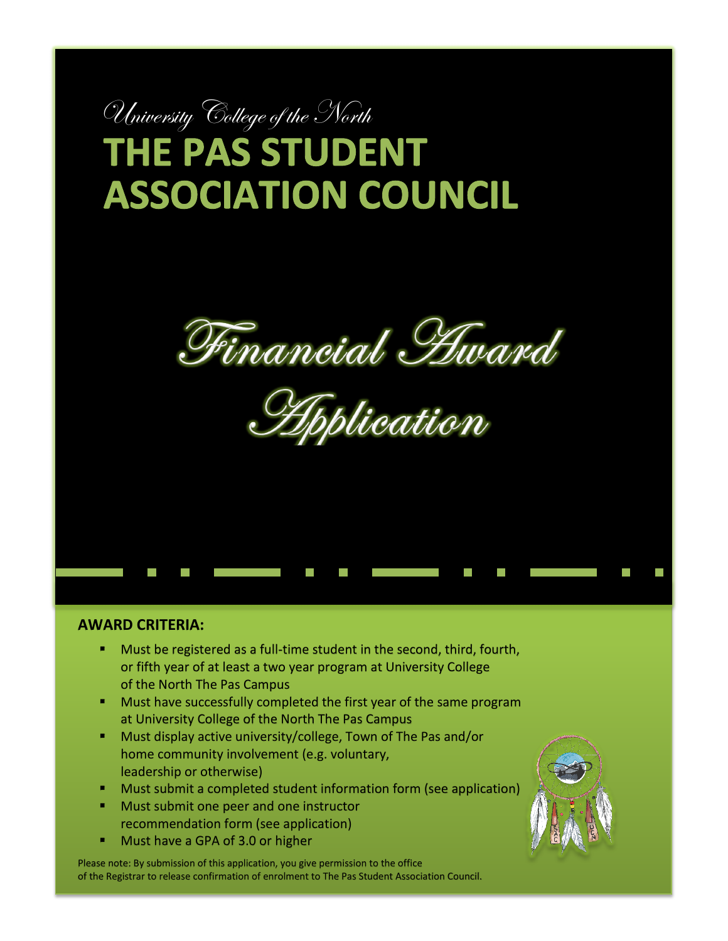# University College of the North **THE PAS STUDENT ASSOCIATION COUNCIL**



<u>splication</u>

#### **AWARD CRITERIA:**

- Must be registered as a full-time student in the second, third, fourth, or fifth year of at least a two year program at University College of the North The Pas Campus
- **Must have successfully completed the first year of the same program** at University College of the North The Pas Campus
- Must display active university/college, Town of The Pas and/or home community involvement (e.g. voluntary, leadership or otherwise)
- Must submit a completed student information form (see application)
- Must submit one peer and one instructor recommendation form (see application)
- Must have a GPA of 3.0 or higher

Please note: By submission of this application, you give permission to the office of the Registrar to release confirmation of enrolment to The Pas Student Association Council.

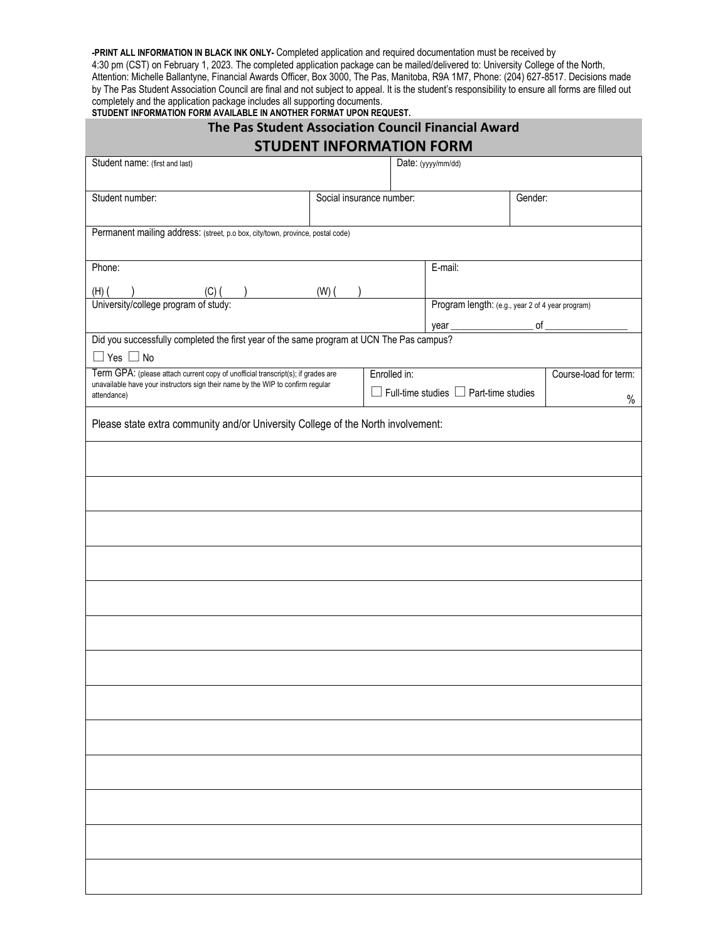**-PRINT ALL INFORMATION IN BLACK INK ONLY-** Completed application and required documentation must be received by 4:30 pm (CST) on February 1, 2023. The completed application package can be mailed/delivered to: University College of the North, Attention: Michelle Ballantyne, Financial Awards Officer, Box 3000, The Pas, Manitoba, R9A 1M7, Phone: (204) 627-8517. Decisions made by The Pas Student Association Council are final and not subject to appeal. It is the student's responsibility to ensure all forms are filled out completely and the application package includes all supporting documents. **STUDENT INFORMATION FORM AVAILABLE IN ANOTHER FORMAT UPON REQUEST.**

| The Pas Student Association Council Financial Award                                                                                                                                 |                       |  |  |  |  |  |  |
|-------------------------------------------------------------------------------------------------------------------------------------------------------------------------------------|-----------------------|--|--|--|--|--|--|
| <b>STUDENT INFORMATION FORM</b>                                                                                                                                                     |                       |  |  |  |  |  |  |
| Student name: (first and last)<br>Date: (yyyy/mm/dd)                                                                                                                                |                       |  |  |  |  |  |  |
| Student number:<br>Social insurance number:<br>Gender:                                                                                                                              |                       |  |  |  |  |  |  |
|                                                                                                                                                                                     |                       |  |  |  |  |  |  |
| Permanent mailing address: (street, p.o box, city/town, province, postal code)                                                                                                      |                       |  |  |  |  |  |  |
|                                                                                                                                                                                     |                       |  |  |  |  |  |  |
| Phone:<br>E-mail:                                                                                                                                                                   |                       |  |  |  |  |  |  |
| $(H)$ $($ $)$ $(C)$ $($ $)$ $(W)$ $($ $)$<br>University/college program of study:<br>Program length: (e.g., year 2 of 4 year program)                                               |                       |  |  |  |  |  |  |
|                                                                                                                                                                                     |                       |  |  |  |  |  |  |
| Did you successfully completed the first year of the same program at UCN The Pas campus?                                                                                            |                       |  |  |  |  |  |  |
| $\Box$ Yes $\Box$ No                                                                                                                                                                |                       |  |  |  |  |  |  |
| Term GPA: (please attach current copy of unofficial transcript(s); if grades are<br>Enrolled in:<br>unavailable have your instructors sign their name by the WIP to confirm regular | Course-load for term: |  |  |  |  |  |  |
| $\Box$ Full-time studies $\Box$ Part-time studies<br>attendance)                                                                                                                    | $\%$                  |  |  |  |  |  |  |
| Please state extra community and/or University College of the North involvement:                                                                                                    |                       |  |  |  |  |  |  |
|                                                                                                                                                                                     |                       |  |  |  |  |  |  |
|                                                                                                                                                                                     |                       |  |  |  |  |  |  |
|                                                                                                                                                                                     |                       |  |  |  |  |  |  |
|                                                                                                                                                                                     |                       |  |  |  |  |  |  |
|                                                                                                                                                                                     |                       |  |  |  |  |  |  |
|                                                                                                                                                                                     |                       |  |  |  |  |  |  |
|                                                                                                                                                                                     |                       |  |  |  |  |  |  |
|                                                                                                                                                                                     |                       |  |  |  |  |  |  |
|                                                                                                                                                                                     |                       |  |  |  |  |  |  |
|                                                                                                                                                                                     |                       |  |  |  |  |  |  |
|                                                                                                                                                                                     |                       |  |  |  |  |  |  |
|                                                                                                                                                                                     |                       |  |  |  |  |  |  |
|                                                                                                                                                                                     |                       |  |  |  |  |  |  |
|                                                                                                                                                                                     |                       |  |  |  |  |  |  |
|                                                                                                                                                                                     |                       |  |  |  |  |  |  |
|                                                                                                                                                                                     |                       |  |  |  |  |  |  |
|                                                                                                                                                                                     |                       |  |  |  |  |  |  |
|                                                                                                                                                                                     |                       |  |  |  |  |  |  |
|                                                                                                                                                                                     |                       |  |  |  |  |  |  |
|                                                                                                                                                                                     |                       |  |  |  |  |  |  |
|                                                                                                                                                                                     |                       |  |  |  |  |  |  |
|                                                                                                                                                                                     |                       |  |  |  |  |  |  |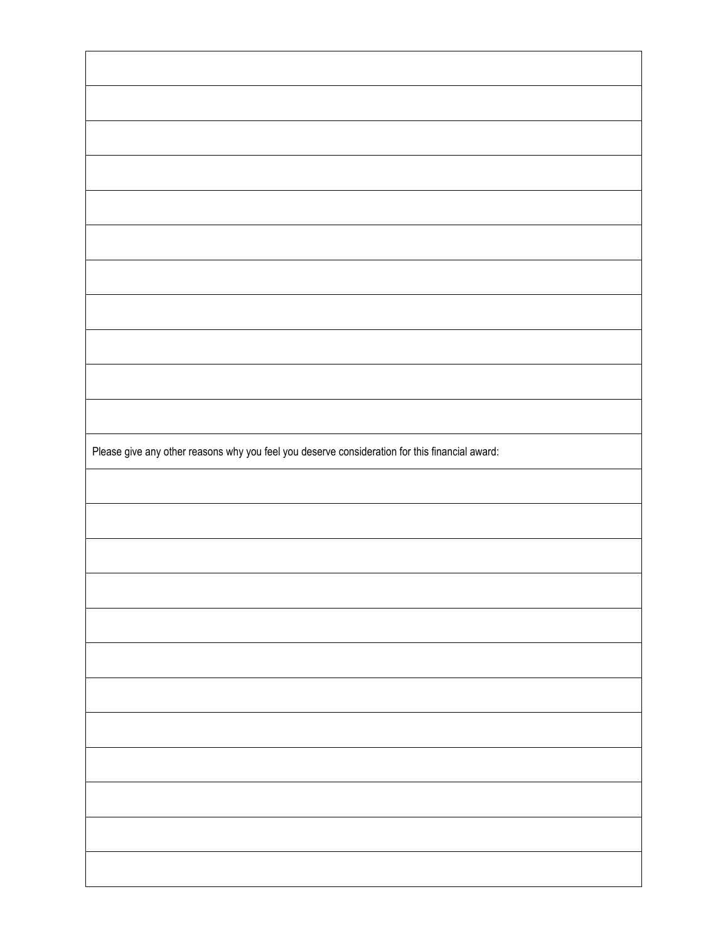| Please give any other reasons why you feel you deserve consideration for this financial award: |  |
|------------------------------------------------------------------------------------------------|--|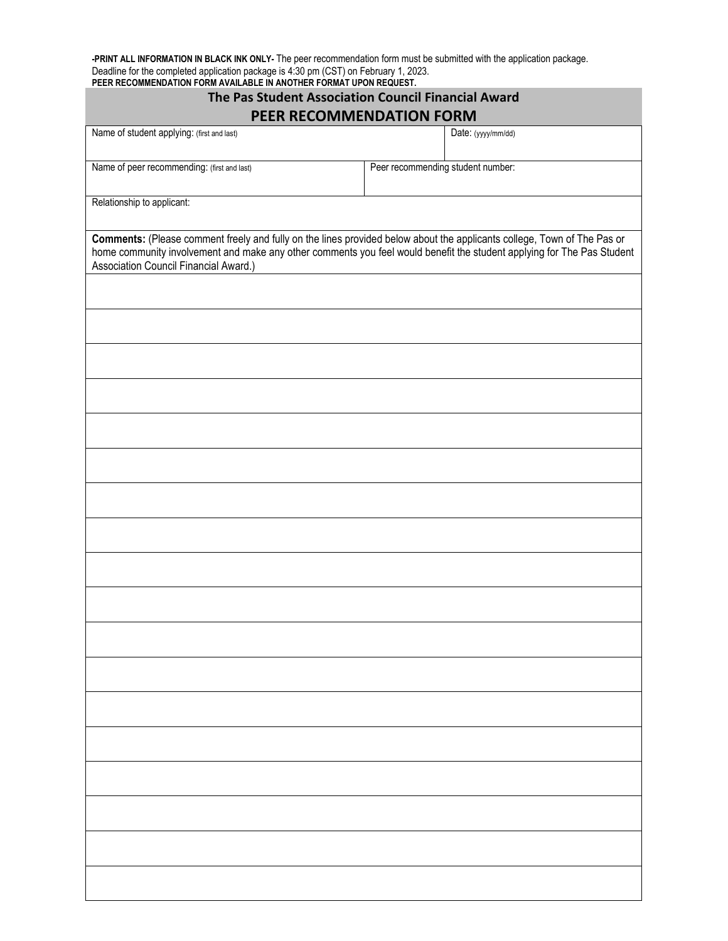**-PRINT ALL INFORMATION IN BLACK INK ONLY-** The peer recommendation form must be submitted with the application package. Deadline for the completed application package is 4:30 pm (CST) on February 1, 2023. **PEER RECOMMENDATION FORM AVAILABLE IN ANOTHER FORMAT UPON REQUEST.**

| The Pas Student Association Council Financial Award<br>PEER RECOMMENDATION FORM                                                                                                                                                                                                            |                                   |  |  |  |  |
|--------------------------------------------------------------------------------------------------------------------------------------------------------------------------------------------------------------------------------------------------------------------------------------------|-----------------------------------|--|--|--|--|
| Name of student applying: (first and last)                                                                                                                                                                                                                                                 | Date: (yyyy/mm/dd)                |  |  |  |  |
| Name of peer recommending: (first and last)                                                                                                                                                                                                                                                | Peer recommending student number: |  |  |  |  |
| Relationship to applicant:                                                                                                                                                                                                                                                                 |                                   |  |  |  |  |
| Comments: (Please comment freely and fully on the lines provided below about the applicants college, Town of The Pas or<br>home community involvement and make any other comments you feel would benefit the student applying for The Pas Student<br>Association Council Financial Award.) |                                   |  |  |  |  |
|                                                                                                                                                                                                                                                                                            |                                   |  |  |  |  |
|                                                                                                                                                                                                                                                                                            |                                   |  |  |  |  |
|                                                                                                                                                                                                                                                                                            |                                   |  |  |  |  |
|                                                                                                                                                                                                                                                                                            |                                   |  |  |  |  |
|                                                                                                                                                                                                                                                                                            |                                   |  |  |  |  |
|                                                                                                                                                                                                                                                                                            |                                   |  |  |  |  |
|                                                                                                                                                                                                                                                                                            |                                   |  |  |  |  |
|                                                                                                                                                                                                                                                                                            |                                   |  |  |  |  |
|                                                                                                                                                                                                                                                                                            |                                   |  |  |  |  |
|                                                                                                                                                                                                                                                                                            |                                   |  |  |  |  |
|                                                                                                                                                                                                                                                                                            |                                   |  |  |  |  |
|                                                                                                                                                                                                                                                                                            |                                   |  |  |  |  |
|                                                                                                                                                                                                                                                                                            |                                   |  |  |  |  |
|                                                                                                                                                                                                                                                                                            |                                   |  |  |  |  |
|                                                                                                                                                                                                                                                                                            |                                   |  |  |  |  |
|                                                                                                                                                                                                                                                                                            |                                   |  |  |  |  |
|                                                                                                                                                                                                                                                                                            |                                   |  |  |  |  |
|                                                                                                                                                                                                                                                                                            |                                   |  |  |  |  |
|                                                                                                                                                                                                                                                                                            |                                   |  |  |  |  |